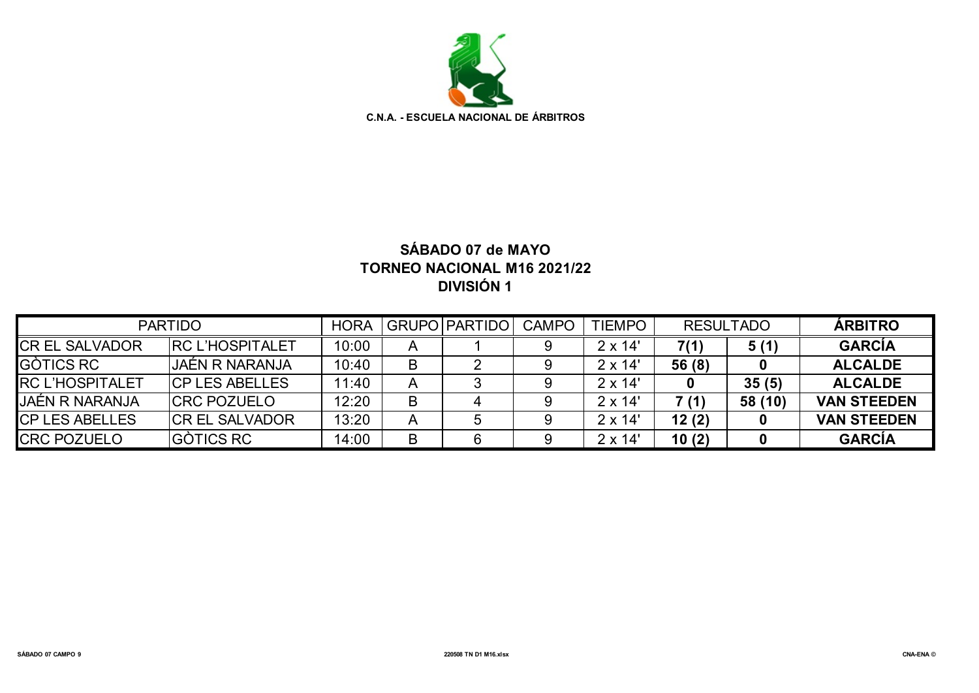

## **SÁBADO 07 de MAYO TORNEO NACIONAL M16 2021/22 DIVISIÓN 1**

|                        | <b>PARTIDO</b>          |       |   | <b>GRUPO PARTIDO</b> | <b>CAMPO</b> | <b>TIEMPO</b>  | <b>RESULTADO</b> |         | <b>ARBITRO</b>     |
|------------------------|-------------------------|-------|---|----------------------|--------------|----------------|------------------|---------|--------------------|
| <b>CREL SALVADOR</b>   | <b>IRC L'HOSPITALET</b> | 10:00 | A |                      |              | $2 \times 14'$ | 7(1)             | 5(1)    | <b>GARCÍA</b>      |
| <b>GÒTICS RC</b>       | JAÉN R NARANJA          | 10:40 | B |                      |              | $2 \times 14'$ | 56(8)            |         | <b>ALCALDE</b>     |
| <b>RC L'HOSPITALET</b> | <b>ICP LES ABELLES</b>  | 11:40 | A |                      |              | $2 \times 14'$ |                  | 35(5)   | <b>ALCALDE</b>     |
| <b>JAÉN R NARANJA</b>  | <b>ICRC POZUELO</b>     | 12:20 | B |                      |              | $2 \times 14'$ | 7 (1)            | 58 (10) | <b>VAN STEEDEN</b> |
| <b>CP LES ABELLES</b>  | <b>ICR EL SALVADOR</b>  | 13:20 | A |                      |              | $2 \times 14'$ | 12(2)            |         | <b>VAN STEEDEN</b> |
| <b>CRC POZUELO</b>     | <b>GÒTICS RC</b>        | 14:00 | B |                      |              | $2 \times 14'$ | 10(2)            |         | <b>GARCÍA</b>      |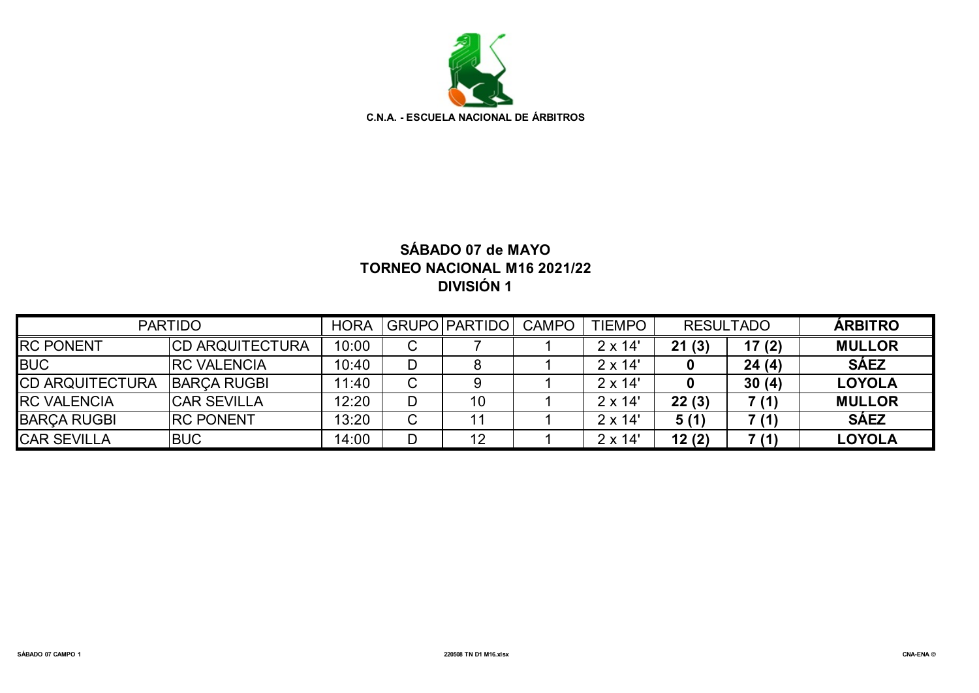

## **SÁBADO 07 de MAYO TORNEO NACIONAL M16 2021/22 DIVISIÓN 1**

| <b>PARTIDO</b>         | <b>HORA</b>            |       | GRUPO PARTIDO | CAMPO | <b>TIEMPO</b> | <b>RESULTADO</b> |       | <b>ARBITRO</b> |               |
|------------------------|------------------------|-------|---------------|-------|---------------|------------------|-------|----------------|---------------|
| <b>RC PONENT</b>       | <b>CD ARQUITECTURA</b> | 10:00 | C             |       |               | $2 \times 14'$   | 21(3) | 17(2)          | <b>MULLOR</b> |
| <b>BUC</b>             | <b>IRC VALENCIA</b>    | 10:40 | D             |       |               | $2 \times 14'$   |       | 24(4)          | <b>SÁEZ</b>   |
| <b>CD ARQUITECTURA</b> | <b>BARÇA RUGBI</b>     | 11:40 | C             |       |               | $2 \times 14'$   |       | 30(4)          | <b>LOYOLA</b> |
| <b>RC VALENCIA</b>     | <b>ICAR SEVILLA</b>    | 12:20 | D             | 10    |               | $2 \times 14'$   | 22(3) | 7 (1)          | <b>MULLOR</b> |
| <b>BARÇA RUGBI</b>     | <b>IRC PONENT</b>      | 13:20 | C             |       |               | $2 \times 14'$   | 5(1)  | 7 (1)          | <b>SÁEZ</b>   |
| <b>CAR SEVILLA</b>     | <b>BUC</b>             | 14:00 | D             | 12    |               | $2 \times 14'$   | 12(2) | 7(1)           | <b>LOYOLA</b> |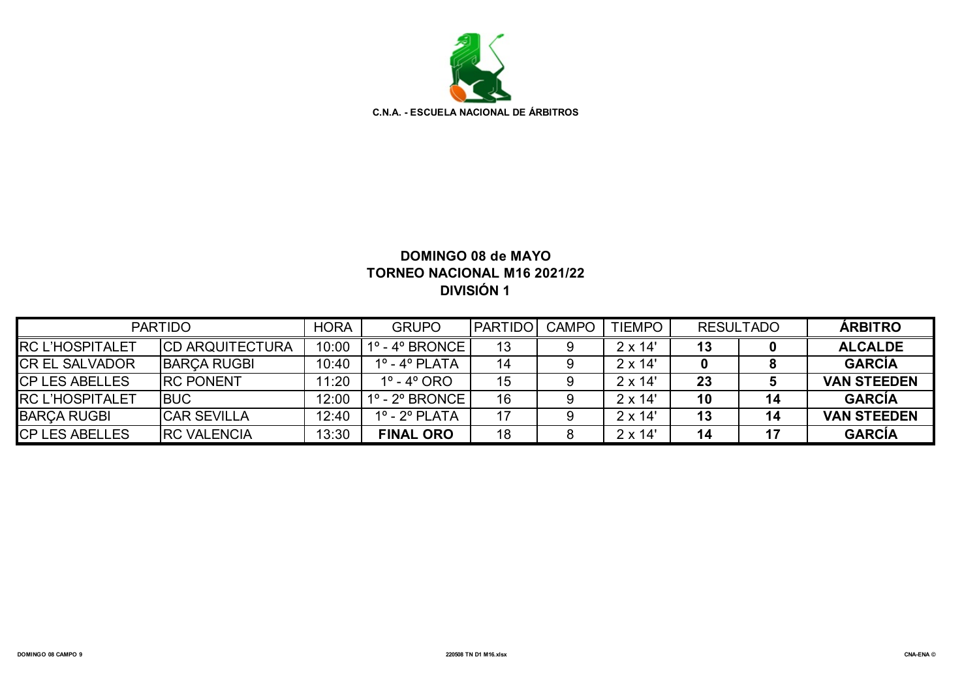

### **DOMINGO 08 de MAYO TORNEO NACIONAL M16 2021/22 DIVISIÓN 1**

|                         | <b>PARTIDO</b>          | <b>HORA</b> | <b>GRUPO</b>                       | <b>PARTIDO</b> | <b>CAMPO</b> | <b>TIEMPO</b>  |    | <b>RESULTADO</b> | <b>ÁRBITRO</b>     |
|-------------------------|-------------------------|-------------|------------------------------------|----------------|--------------|----------------|----|------------------|--------------------|
| <b>IRC L'HOSPITALET</b> | <b>ICD ARQUITECTURA</b> | 10:00       | $1^{\circ}$ - $4^{\circ}$ BRONCE I | 13             |              | $2 \times 14'$ | 13 |                  | <b>ALCALDE</b>     |
| <b>CR EL SALVADOR</b>   | <b>BARCA RUGBI</b>      | 10:40       | $1^\circ$ - $4^\circ$ PLATA        | 14             |              | $2 \times 14'$ |    |                  | <b>GARCÍA</b>      |
| <b>ICP LES ABELLES</b>  | <b>IRC PONENT</b>       | 11:20       | 1º - 4º ORO                        | 15             |              | $2 \times 14'$ | 23 |                  | <b>VAN STEEDEN</b> |
| <b>IRC L'HOSPITALET</b> | <b>IBUC</b>             | 12:00       | $1^\circ$ - $2^\circ$ BRONCE I     | 16             |              | $2 \times 14'$ | 10 | 14               | <b>GARCÍA</b>      |
| <b>BARCA RUGBI</b>      | <b>ICAR SEVILLA</b>     | 12:40       | $1^\circ$ - $2^\circ$ PLATA        |                |              | $2 \times 14'$ | 13 | 14               | <b>VAN STEEDEN</b> |
| <b>ICP LES ABELLES</b>  | <b>IRC VALENCIA</b>     | 13:30       | <b>FINAL ORO</b>                   | 18             |              | $2 \times 14'$ | 14 |                  | <b>GARCÍA</b>      |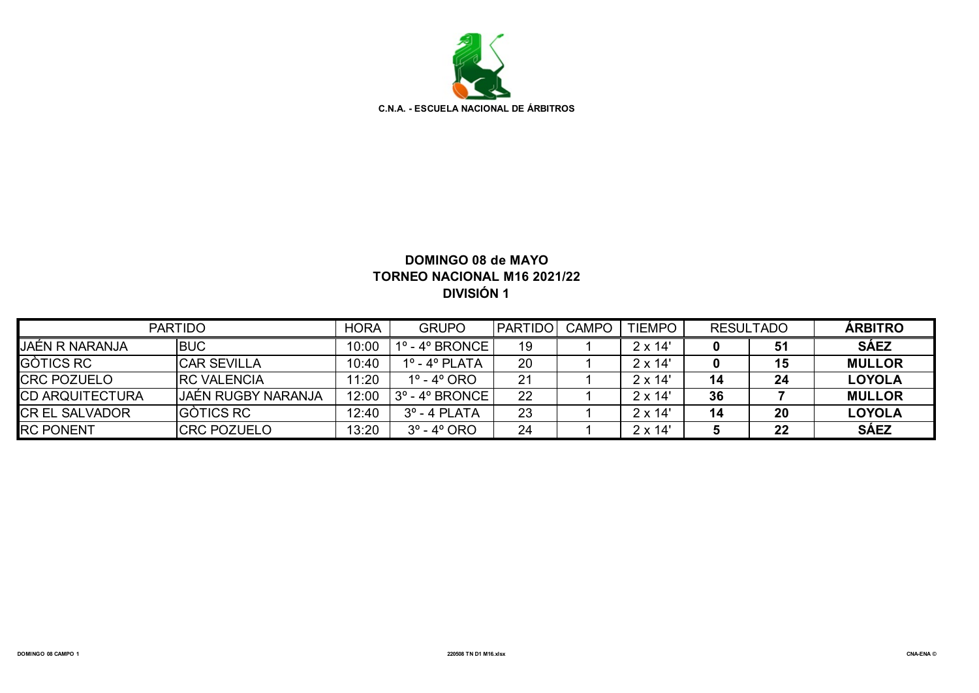

#### **DOMINGO 08 de MAYO TORNEO NACIONAL M16 2021/22 DIVISIÓN 1**

|                        | <b>PARTIDO</b>      | <b>HORA</b> | <b>GRUPO</b>                   | <b>PARTIDO</b> | <b>CAMPO</b> | <b>TIEMPO</b>  | <b>RESULTADO</b> |    | <b>ÁRBITRO</b> |
|------------------------|---------------------|-------------|--------------------------------|----------------|--------------|----------------|------------------|----|----------------|
| JAÉN R NARANJA         | <b>BUC</b>          | 10:00       | $1^\circ$ - $4^\circ$ BRONCE   | 19             |              | $2 \times 14'$ |                  | 51 | <b>SÁEZ</b>    |
| <b>GÒTICS RC</b>       | <b>CAR SEVILLA</b>  | 10:40       | $1^\circ$ - $4^\circ$ PLATA    | 20             |              | $2 \times 14'$ |                  | 15 | <b>MULLOR</b>  |
| <b>CRC POZUELO</b>     | <b>IRC VALENCIA</b> | 11:20       | $1^\circ$ - $4^\circ$ ORO      | 21             |              | $2 \times 14'$ | 14               | 24 | <b>LOYOLA</b>  |
| <b>CD ARQUITECTURA</b> | JAÉN RUGBY NARANJA  | 12:00       | 3° - 4° BRONCE '               | 22             |              | $2 \times 14'$ | 36               |    | <b>MULLOR</b>  |
| <b>CR EL SALVADOR</b>  | <b>GÒTICS RC</b>    | 12:40       | $3^\circ$ - 4 PLATA            | 23             |              | $2 \times 14'$ | 14               | 20 | <b>LOYOLA</b>  |
| <b>RC PONENT</b>       | <b>ICRC POZUELO</b> | 13:20       | $3^{\circ}$ - 4 $^{\circ}$ ORO | 24             |              | $2 \times 14'$ |                  | 22 | <b>SÁEZ</b>    |